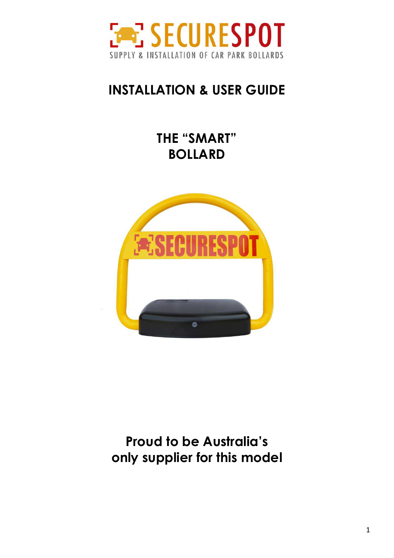

## **INSTALLATION & USER GUIDE**

**THE "SMART" BOLLARD** 



**Proud to be Australia's only supplier for this model**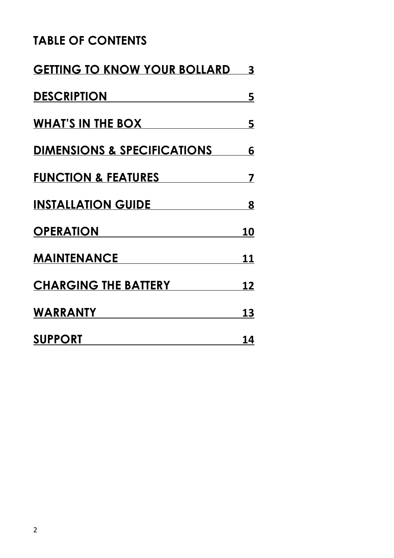#### **TABLE OF CONTENTS**

<span id="page-1-0"></span>

| <b>GETTING TO KNOW YOUR BOLLARD</b> | $\overline{\mathbf{3}}$ |
|-------------------------------------|-------------------------|
| DESCRIPTION                         | <u>5</u>                |
| WHAT'S IN THE BOX                   | 5                       |
| DIMENSIONS & SPECIFICATIONS 6       |                         |
| <b>FUNCTION &amp; FEATURES</b>      | 7                       |
| INSTALLATION GUIDE                  | 8                       |
| <b>OPERATION</b>                    | <b>10</b>               |
| MAINTENANCE                         | <u> 11</u>              |
| <b>CHARGING THE BATTERY</b>         | <u> 12</u>              |
| <b>WARRANTY</b>                     | 13                      |
| <b>SUPPORT</b>                      | 14                      |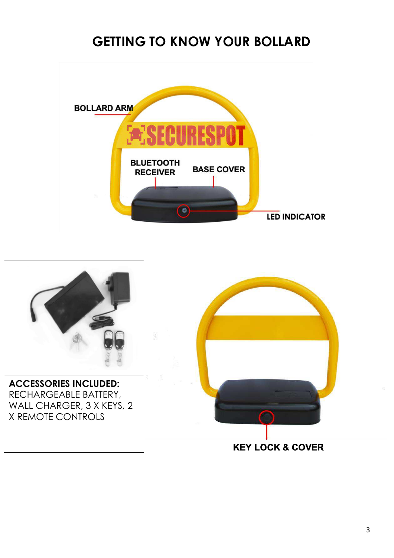## **GETTING TO KNOW YOUR BOLLARD**



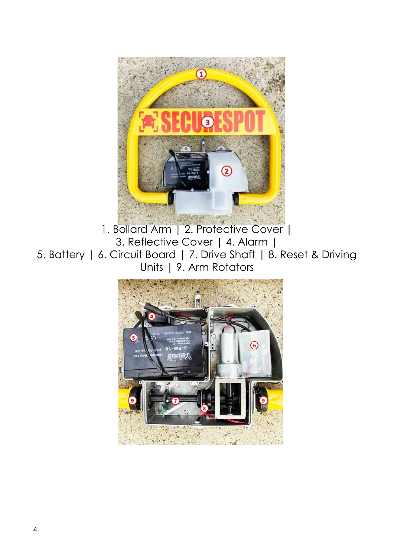

1. Bollard Arm | 2. Protective Cover | 3. Reflective Cover | 4. Alarm | 5. Battery | 6. Circuit Board | 7. Drive Shaft | 8. Reset & Driving Units | 9. Arm Rotators

<span id="page-3-0"></span>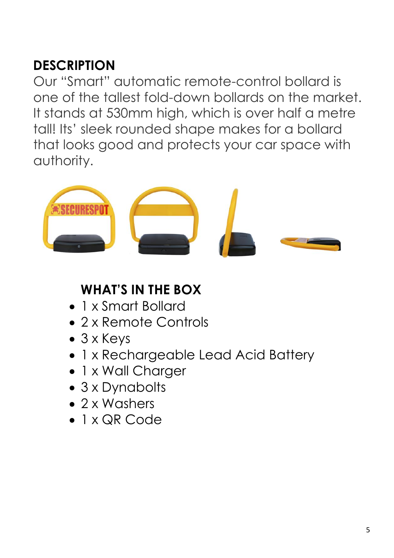# **DESCRIPTION**

Our "Smart" automatic remote-control bollard is one of the tallest fold-down bollards on the market. It stands at 530mm high, which is over half a metre tall! Its' sleek rounded shape makes for a bollard that looks good and protects your car space with authority.



## <span id="page-4-0"></span>**WHAT'S IN THE BOX**

- 1 x Smart Bollard
- 2 x Remote Controls
- 3 x Keys
- 1 x Rechargeable Lead Acid Battery
- 1 x Wall Charger
- 3 x Dynabolts
- 2 x Washers
- <span id="page-4-1"></span>• 1 x QR Code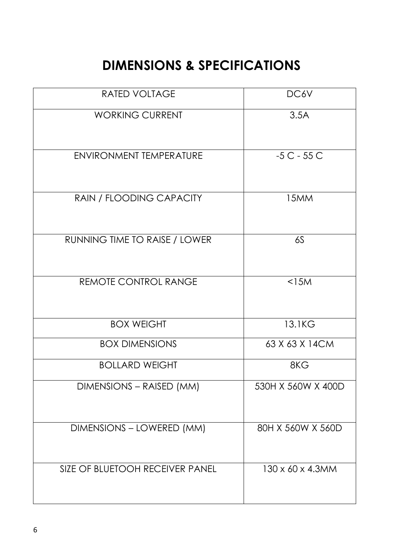## **DIMENSIONS & SPECIFICATIONS**

| <b>RATED VOLTAGE</b>            | DC6V                          |
|---------------------------------|-------------------------------|
| <b>WORKING CURRENT</b>          | 3.5A                          |
| <b>ENVIRONMENT TEMPERATURE</b>  | $-5C - 55C$                   |
| RAIN / FLOODING CAPACITY        | 15MM                          |
| RUNNING TIME TO RAISE / LOWER   | 6S                            |
| <b>REMOTE CONTROL RANGE</b>     | $<$ 15 $M$                    |
| <b>BOX WEIGHT</b>               | 13.1KG                        |
| <b>BOX DIMENSIONS</b>           | 63 X 63 X 14CM                |
| <b>BOLLARD WEIGHT</b>           | 8KG                           |
| DIMENSIONS – RAISED (MM)        | 530H X 560W X 400D            |
| DIMENSIONS - LOWERED (MM)       | 80H X 560W X 560D             |
| SIZE OF BLUETOOH RECEIVER PANEL | $130 \times 60 \times 4.3$ MM |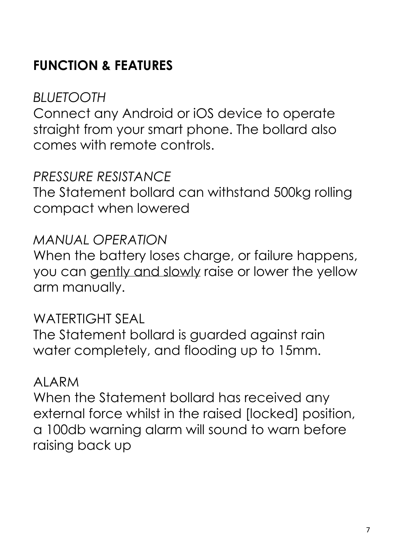# <span id="page-6-0"></span>**FUNCTION & FEATURES**

## *BLUETOOTH*

Connect any Android or iOS device to operate straight from your smart phone. The bollard also comes with remote controls.

#### *PRESSURE RESISTANCE*

The Statement bollard can withstand 500kg rolling compact when lowered

#### *MANUAL OPERATION*

When the battery loses charge, or failure happens, you can gently and slowly raise or lower the yellow arm manually.

#### WATERTIGHT SEAL

The Statement bollard is guarded against rain water completely, and flooding up to 15mm.

#### ALARM

<span id="page-6-1"></span>When the Statement bollard has received any external force whilst in the raised [locked] position, a 100db warning alarm will sound to warn before raising back up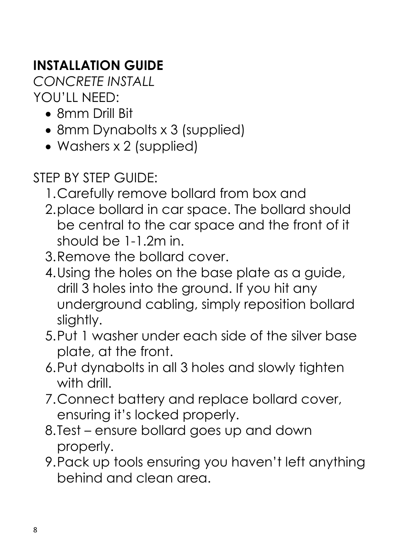# **INSTALLATION GUIDE**

*CONCRETE INSTALL*  YOU'LL NEED:

- 8mm Drill Bit
- 8mm Dynabolts x 3 (supplied)
- Washers x 2 (supplied)
- STEP BY STEP GUIDE:
	- 1.Carefully remove bollard from box and
	- 2.place bollard in car space. The bollard should be central to the car space and the front of it should be 1-1.2m in.
	- 3.Remove the bollard cover.
	- 4.Using the holes on the base plate as a guide, drill 3 holes into the ground. If you hit any underground cabling, simply reposition bollard slightly.
	- 5.Put 1 washer under each side of the silver base plate, at the front.
	- 6.Put dynabolts in all 3 holes and slowly tighten with drill.
	- 7.Connect battery and replace bollard cover, ensuring it's locked properly.
	- 8.Test ensure bollard goes up and down properly.
	- 9.Pack up tools ensuring you haven't left anything behind and clean area.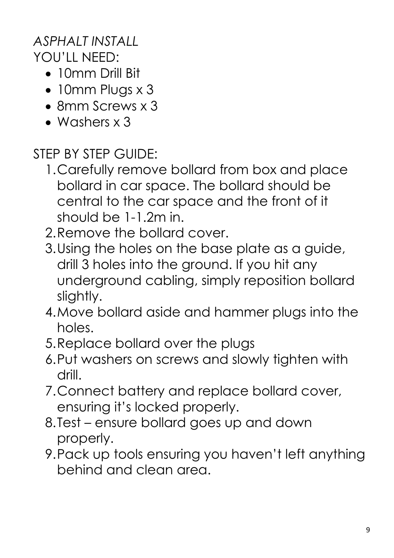## *ASPHALT INSTALL*  YOU'LL NEED:

- 10mm Drill Bit
- 10mm Plugs x 3
- 8mm Screws x 3
- Washers x 3

STEP BY STEP GUIDE:

- 1.Carefully remove bollard from box and place bollard in car space. The bollard should be central to the car space and the front of it should be 1-1.2m in.
- 2.Remove the bollard cover.
- 3.Using the holes on the base plate as a guide, drill 3 holes into the ground. If you hit any underground cabling, simply reposition bollard slightly.
- 4.Move bollard aside and hammer plugs into the holes.
- 5.Replace bollard over the plugs
- 6.Put washers on screws and slowly tighten with drill.
- 7.Connect battery and replace bollard cover, ensuring it's locked properly.
- 8.Test ensure bollard goes up and down properly.
- 9.Pack up tools ensuring you haven't left anything behind and clean area.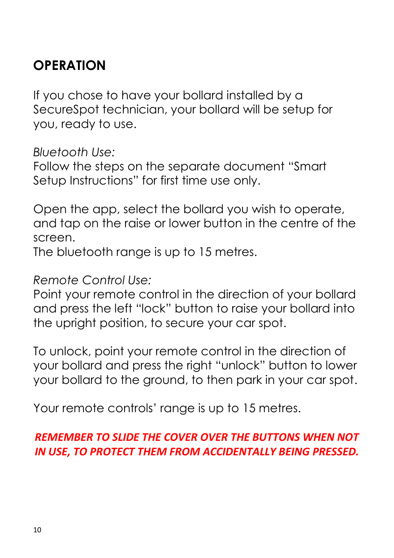## <span id="page-9-0"></span>**OPERATION**

If you chose to have your bollard installed by a SecureSpot technician, your bollard will be setup for you, ready to use.

*Bluetooth Use:* 

Follow the steps on the separate document "Smart Setup Instructions" for first time use only.

Open the app, select the bollard you wish to operate, and tap on the raise or lower button in the centre of the screen.

The bluetooth range is up to 15 metres.

*Remote Control Use:* 

Point your remote control in the direction of your bollard and press the left "lock" button to raise your bollard into the upright position, to secure your car spot.

To unlock, point your remote control in the direction of your bollard and press the right "unlock" button to lower your bollard to the ground, to then park in your car spot.

Your remote controls' range is up to 15 metres.

#### *REMEMBER TO SLIDE THE COVER OVER THE BUTTONS WHEN NOT IN USE, TO PROTECT THEM FROM ACCIDENTALLY BEING PRESSED.*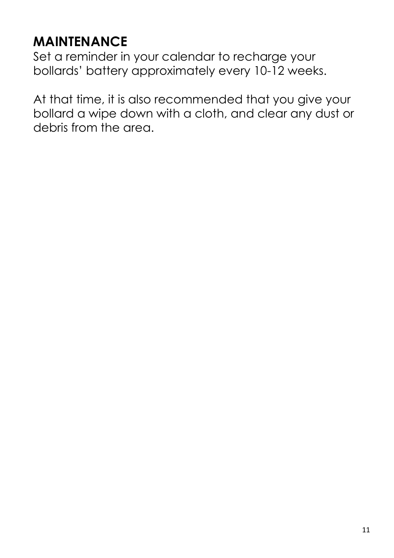# <span id="page-10-0"></span>**MAINTENANCE**

Set a reminder in your calendar to recharge your bollards' battery approximately every 10-12 weeks.

<span id="page-10-1"></span>At that time, it is also recommended that you give your bollard a wipe down with a cloth, and clear any dust or debris from the area.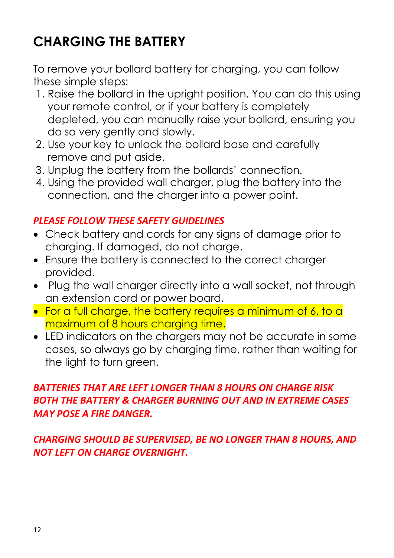# **CHARGING THE BATTERY**

To remove your bollard battery for charging, you can follow these simple steps:

- 1. Raise the bollard in the upright position. You can do this using your remote control, or if your battery is completely depleted, you can manually raise your bollard, ensuring you do so very gently and slowly.
- 2. Use your key to unlock the bollard base and carefully remove and put aside.
- 3. Unplug the battery from the bollards' connection.
- 4. Using the provided wall charger, plug the battery into the connection, and the charger into a power point.

#### *PLEASE FOLLOW THESE SAFETY GUIDELINES*

- Check battery and cords for any signs of damage prior to charging. If damaged, do not charge.
- Ensure the battery is connected to the correct charger provided.
- Plug the wall charger directly into a wall socket, not through an extension cord or power board.
- For a full charge, the battery requires a minimum of 6, to a maximum of 8 hours charging time.
- LED indicators on the chargers may not be accurate in some cases, so always go by charging time, rather than waiting for the light to turn green.

#### *BATTERIES THAT ARE LEFT LONGER THAN 8 HOURS ON CHARGE RISK BOTH THE BATTERY & CHARGER BURNING OUT AND IN EXTREME CASES MAY POSE A FIRE DANGER.*

*CHARGING SHOULD BE SUPERVISED, BE NO LONGER THAN 8 HOURS, AND NOT LEFT ON CHARGE OVERNIGHT.*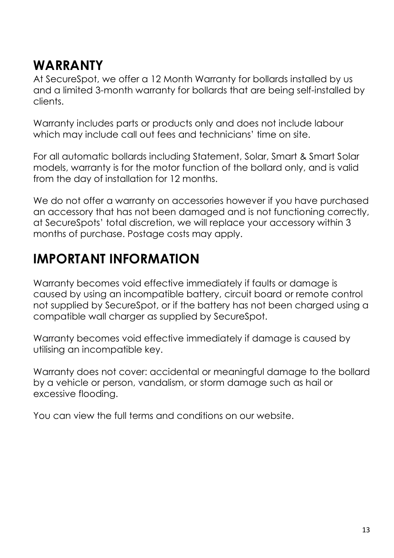## <span id="page-12-0"></span>**WARRANTY**

At SecureSpot, we offer a 12 Month Warranty for bollards installed by us and a limited 3-month warranty for bollards that are being self-installed by clients.

Warranty includes parts or products only and does not include labour which may include call out fees and technicians' time on site.

For all automatic bollards including Statement, Solar, Smart & Smart Solar models, warranty is for the motor function of the bollard only, and is valid from the day of installation for 12 months.

We do not offer a warranty on accessories however if you have purchased an accessory that has not been damaged and is not functioning correctly, at SecureSpots' total discretion, we will replace your accessory within 3 months of purchase. Postage costs may apply.

## **IMPORTANT INFORMATION**

Warranty becomes void effective immediately if faults or damage is caused by using an incompatible battery, circuit board or remote control not supplied by SecureSpot, or if the battery has not been charged using a compatible wall charger as supplied by SecureSpot.

Warranty becomes void effective immediately if damage is caused by utilising an incompatible key.

Warranty does not cover: accidental or meaningful damage to the bollard by a vehicle or person, vandalism, or storm damage such as hail or excessive flooding.

You can view the full terms and conditions on our website.